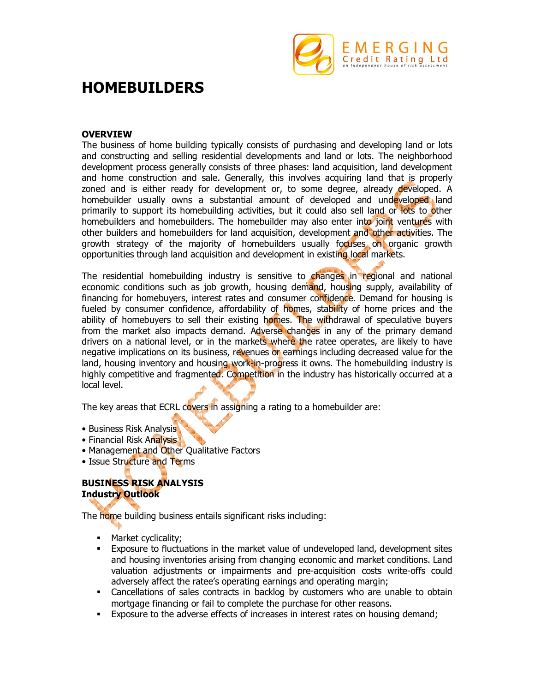

# **HOMEBUILDERS**

### **OVERVIEW**

The business of home building typically consists of purchasing and developing land or lots and constructing and selling residential developments and land or lots. The neighborhood development process generally consists of three phases: land acquisition, land development and home construction and sale. Generally, this involves acquiring land that is properly zoned and is either ready for development or, to some degree, already developed. A homebuilder usually owns a substantial amount of developed and undeveloped land primarily to support its homebuilding activities, but it could also sell land or lots to other homebuilders and homebuilders. The homebuilder may also enter into joint ventures with other builders and homebuilders for land acquisition, development and other activities. The growth strategy of the majority of homebuilders usually focuses on organic growth opportunities through land acquisition and development in existing local markets.

The residential homebuilding industry is sensitive to changes in regional and national economic conditions such as job growth, housing demand, housing supply, availability of financing for homebuyers, interest rates and consumer confidence. Demand for housing is fueled by consumer confidence, affordability of homes, stability of home prices and the ability of homebuyers to sell their existing homes. The withdrawal of speculative buyers from the market also impacts demand. Adverse changes in any of the primary demand drivers on a national level, or in the markets where the ratee operates, are likely to have negative implications on its business, revenues or earnings including decreased value for the land, housing inventory and housing work-in-progress it owns. The homebuilding industry is highly competitive and fragmented. Competition in the industry has historically occurred at a local level.

The key areas that ECRL covers in assigning a rating to a homebuilder are:

- Business Risk Analysis
- Financial Risk Analysis
- Management and Other Qualitative Factors
- Issue Structure and Terms

## **BUSINESS RISK ANALYSIS Industry Outlook**

The home building business entails significant risks including:

- Market cyclicality;<br>• Exposure to fluctu
- Exposure to fluctuations in the market value of undeveloped land, development sites and housing inventories arising from changing economic and market conditions. Land valuation adjustments or impairments and pre-acquisition costs write-offs could adversely affect the ratee's operating earnings and operating margin;
- Cancellations of sales contracts in backlog by customers who are unable to obtain mortgage financing or fail to complete the purchase for other reasons.
- Exposure to the adverse effects of increases in interest rates on housing demand;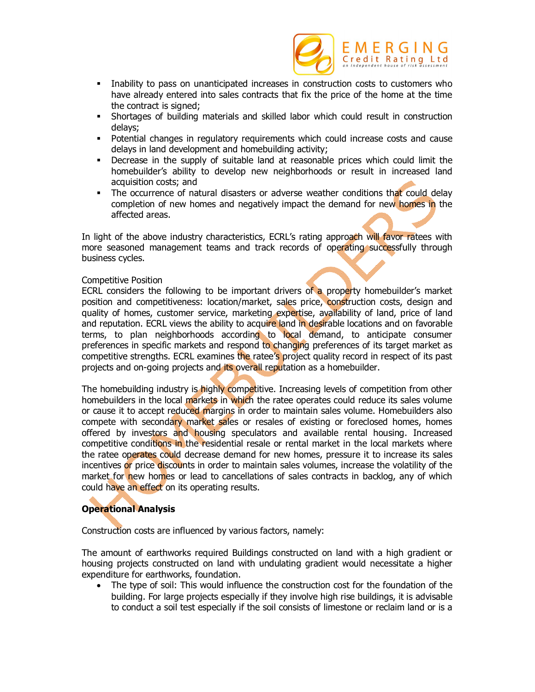

- Inability to pass on unanticipated increases in construction costs to customers who have already entered into sales contracts that fix the price of the home at the time the contract is signed;
- Shortages of building materials and skilled labor which could result in construction delays;
- Potential changes in regulatory requirements which could increase costs and cause delays in land development and homebuilding activity;
- Decrease in the supply of suitable land at reasonable prices which could limit the homebuilder's ability to develop new neighborhoods or result in increased land acquisition costs; and
- The occurrence of natural disasters or adverse weather conditions that could delay completion of new homes and negatively impact the demand for new homes in the affected areas.

In light of the above industry characteristics, ECRL's rating approach will favor ratees with more seasoned management teams and track records of operating successfully through business cycles.

#### Competitive Position

ECRL considers the following to be important drivers of a property homebuilder's market position and competitiveness: location/market, sales price, construction costs, design and quality of homes, customer service, marketing expertise, availability of land, price of land and reputation. ECRL views the ability to acquire land in desirable locations and on favorable terms, to plan neighborhoods according to local demand, to anticipate consumer preferences in specific markets and respond to changing preferences of its target market as competitive strengths. ECRL examines the ratee's project quality record in respect of its past projects and on-going projects and its overall reputation as a homebuilder.

The homebuilding industry is highly competitive. Increasing levels of competition from other homebuilders in the local markets in which the ratee operates could reduce its sales volume or cause it to accept reduced margins in order to maintain sales volume. Homebuilders also compete with secondary market sales or resales of existing or foreclosed homes, homes offered by investors and housing speculators and available rental housing. Increased competitive conditions in the residential resale or rental market in the local markets where the ratee operates could decrease demand for new homes, pressure it to increase its sales incentives or price discounts in order to maintain sales volumes, increase the volatility of the market for new homes or lead to cancellations of sales contracts in backlog, any of which could have an effect on its operating results.

# **Operational Analysis**

Construction costs are influenced by various factors, namely:

The amount of earthworks required Buildings constructed on land with a high gradient or housing projects constructed on land with undulating gradient would necessitate a higher expenditure for earthworks, foundation.

• The type of soil: This would influence the construction cost for the foundation of the building. For large projects especially if they involve high rise buildings, it is advisable to conduct a soil test especially if the soil consists of limestone or reclaim land or is a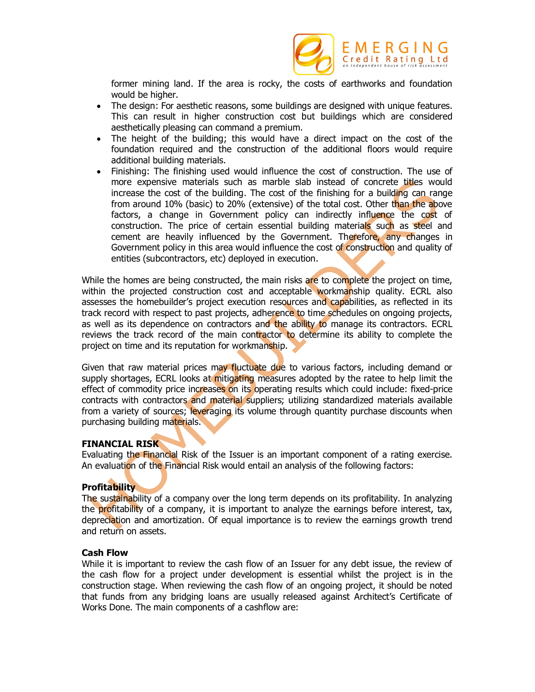

former mining land. If the area is rocky, the costs of earthworks and foundation would be higher.

- The design: For aesthetic reasons, some buildings are designed with unique features. This can result in higher construction cost but buildings which are considered aesthetically pleasing can command a premium.
- The height of the building; this would have a direct impact on the cost of the foundation required and the construction of the additional floors would require additional building materials.
- Finishing: The finishing used would influence the cost of construction. The use of more expensive materials such as marble slab instead of concrete titles would increase the cost of the building. The cost of the finishing for a building can range from around 10% (basic) to 20% (extensive) of the total cost. Other than the above factors, a change in Government policy can indirectly influence the cost of construction. The price of certain essential building materials such as steel and cement are heavily influenced by the Government. Therefore, any changes in Government policy in this area would influence the cost of construction and quality of entities (subcontractors, etc) deployed in execution.

While the homes are being constructed, the main risks are to complete the project on time, within the projected construction cost and acceptable workmanship quality. ECRL also assesses the homebuilder's project execution resources and capabilities, as reflected in its track record with respect to past projects, adherence to time schedules on ongoing projects, as well as its dependence on contractors and the ability to manage its contractors. ECRL reviews the track record of the main contractor to determine its ability to complete the project on time and its reputation for workmanship.

Given that raw material prices may fluctuate due to various factors, including demand or supply shortages, ECRL looks at mitigating measures adopted by the ratee to help limit the effect of commodity price increases on its operating results which could include: fixed-price contracts with contractors and material suppliers; utilizing standardized materials available from a variety of sources; leveraging its volume through quantity purchase discounts when purchasing building materials.

#### **FINANCIAL RISK**

Evaluating the Financial Risk of the Issuer is an important component of a rating exercise. An evaluation of the Financial Risk would entail an analysis of the following factors:

#### **Profitability**

The sustainability of a company over the long term depends on its profitability. In analyzing the profitability of a company, it is important to analyze the earnings before interest, tax, depreciation and amortization. Of equal importance is to review the earnings growth trend and return on assets.

#### **Cash Flow**

While it is important to review the cash flow of an Issuer for any debt issue, the review of the cash flow for a project under development is essential whilst the project is in the construction stage. When reviewing the cash flow of an ongoing project, it should be noted that funds from any bridging loans are usually released against Architect's Certificate of Works Done. The main components of a cashflow are: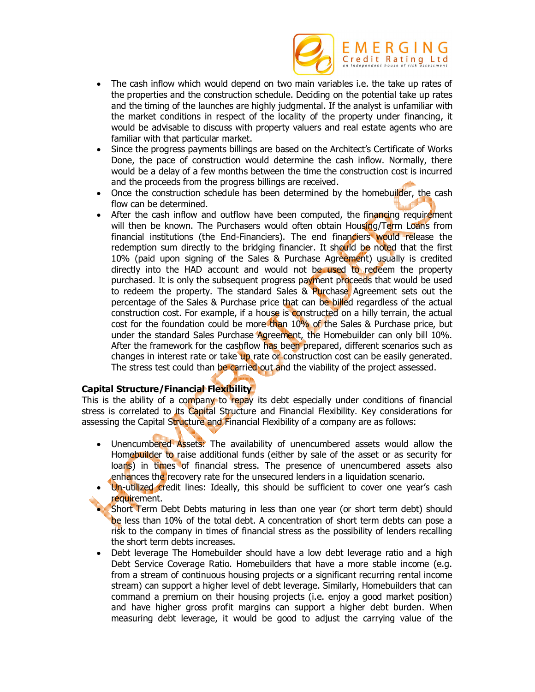

- The cash inflow which would depend on two main variables i.e. the take up rates of the properties and the construction schedule. Deciding on the potential take up rates and the timing of the launches are highly judgmental. If the analyst is unfamiliar with the market conditions in respect of the locality of the property under financing, it would be advisable to discuss with property valuers and real estate agents who are familiar with that particular market.
- Since the progress payments billings are based on the Architect's Certificate of Works Done, the pace of construction would determine the cash inflow. Normally, there would be a delay of a few months between the time the construction cost is incurred and the proceeds from the progress billings are received.
- Once the construction schedule has been determined by the homebuilder, the cash flow can be determined.
- After the cash inflow and outflow have been computed, the financing requirement will then be known. The Purchasers would often obtain Housing/Term Loans from financial institutions (the End-Financiers). The end financiers would release the redemption sum directly to the bridging financier. It should be noted that the first 10% (paid upon signing of the Sales & Purchase Agreement) usually is credited directly into the HAD account and would not be used to redeem the property purchased. It is only the subsequent progress payment proceeds that would be used to redeem the property. The standard Sales & Purchase Agreement sets out the percentage of the Sales & Purchase price that can be billed regardless of the actual construction cost. For example, if a house is constructed on a hilly terrain, the actual cost for the foundation could be more than 10% of the Sales & Purchase price, but under the standard Sales Purchase Agreement, the Homebuilder can only bill 10%. After the framework for the cashflow has been prepared, different scenarios such as changes in interest rate or take up rate or construction cost can be easily generated. The stress test could than be carried out and the viability of the project assessed.

## **Capital Structure/Financial Flexibility**

This is the ability of a company to repay its debt especially under conditions of financial stress is correlated to its Capital Structure and Financial Flexibility. Key considerations for assessing the Capital Structure and Financial Flexibility of a company are as follows:

- Unencumbered Assets: The availability of unencumbered assets would allow the Homebuilder to raise additional funds (either by sale of the asset or as security for loans) in times of financial stress. The presence of unencumbered assets also enhances the recovery rate for the unsecured lenders in a liquidation scenario.
- Un-utilized credit lines: Ideally, this should be sufficient to cover one year's cash requirement.
- Short Term Debt Debts maturing in less than one year (or short term debt) should be less than 10% of the total debt. A concentration of short term debts can pose a risk to the company in times of financial stress as the possibility of lenders recalling the short term debts increases.
- Debt leverage The Homebuilder should have a low debt leverage ratio and a high Debt Service Coverage Ratio. Homebuilders that have a more stable income (e.g. from a stream of continuous housing projects or a significant recurring rental income stream) can support a higher level of debt leverage. Similarly, Homebuilders that can command a premium on their housing projects (i.e. enjoy a good market position) and have higher gross profit margins can support a higher debt burden. When measuring debt leverage, it would be good to adjust the carrying value of the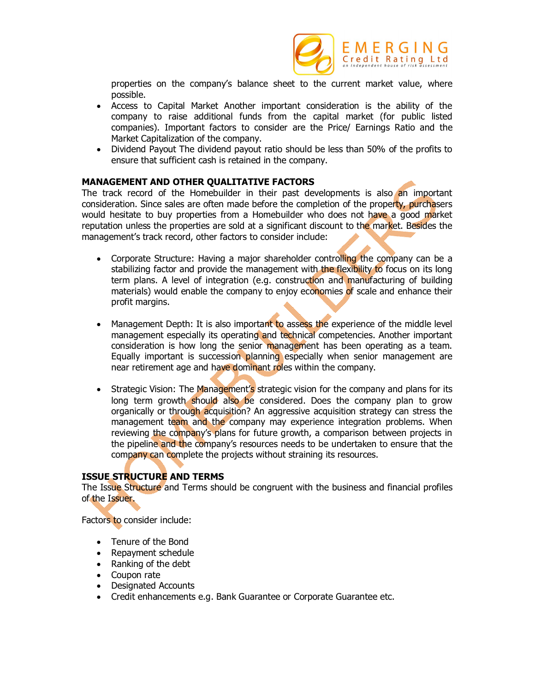

properties on the company's balance sheet to the current market value, where possible.

- Access to Capital Market Another important consideration is the ability of the company to raise additional funds from the capital market (for public listed companies). Important factors to consider are the Price/ Earnings Ratio and the Market Capitalization of the company.
- Dividend Payout The dividend payout ratio should be less than 50% of the profits to ensure that sufficient cash is retained in the company.

#### **MANAGEMENT AND OTHER QUALITATIVE FACTORS**

The track record of the Homebuilder in their past developments is also an important consideration. Since sales are often made before the completion of the property, purchasers would hesitate to buy properties from a Homebuilder who does not have a good market reputation unless the properties are sold at a significant discount to the market. Besides the management's track record, other factors to consider include:

- Corporate Structure: Having a major shareholder controlling the company can be a stabilizing factor and provide the management with the flexibility to focus on its long term plans. A level of integration (e.g. construction and manufacturing of building materials) would enable the company to enjoy economies of scale and enhance their profit margins.
- Management Depth: It is also important to assess the experience of the middle level management especially its operating and technical competencies. Another important consideration is how long the senior management has been operating as a team. Equally important is succession planning especially when senior management are near retirement age and have dominant roles within the company.
- Strategic Vision: The Management's strategic vision for the company and plans for its long term growth should also be considered. Does the company plan to grow organically or through acquisition? An aggressive acquisition strategy can stress the management team and the company may experience integration problems. When reviewing the company's plans for future growth, a comparison between projects in the pipeline and the company's resources needs to be undertaken to ensure that the company can complete the projects without straining its resources.

#### **ISSUE STRUCTURE AND TERMS**

The Issue Structure and Terms should be congruent with the business and financial profiles of the Issuer.

Factors to consider include:

- Tenure of the Bond
- Repayment schedule
- Ranking of the debt
- Coupon rate
- Designated Accounts
- Credit enhancements e.g. Bank Guarantee or Corporate Guarantee etc.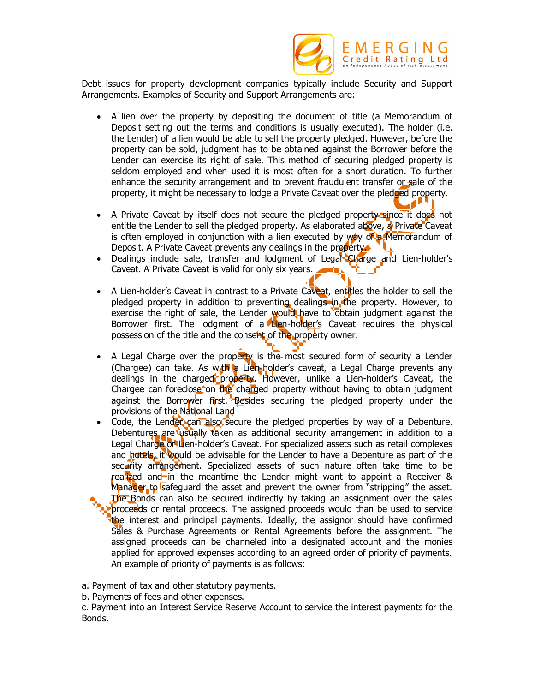

Debt issues for property development companies typically include Security and Support Arrangements. Examples of Security and Support Arrangements are:

- A lien over the property by depositing the document of title (a Memorandum of Deposit setting out the terms and conditions is usually executed). The holder (i.e. the Lender) of a lien would be able to sell the property pledged. However, before the property can be sold, judgment has to be obtained against the Borrower before the Lender can exercise its right of sale. This method of securing pledged property is seldom employed and when used it is most often for a short duration. To further enhance the security arrangement and to prevent fraudulent transfer or sale of the property, it might be necessary to lodge a Private Caveat over the pledged property.
- A Private Caveat by itself does not secure the pledged property since it does not entitle the Lender to sell the pledged property. As elaborated above, a Private Caveat is often employed in conjunction with a lien executed by way of a Memorandum of Deposit. A Private Caveat prevents any dealings in the property.
- Dealings include sale, transfer and lodgment of Legal Charge and Lien-holder's Caveat. A Private Caveat is valid for only six years.
- A Lien-holder's Caveat in contrast to a Private Caveat, entitles the holder to sell the pledged property in addition to preventing dealings in the property. However, to exercise the right of sale, the Lender would have to obtain judgment against the Borrower first. The lodgment of a Lien-holder's Caveat requires the physical possession of the title and the consent of the property owner.
- A Legal Charge over the property is the most secured form of security a Lender (Chargee) can take. As with a Lien-holder's caveat, a Legal Charge prevents any dealings in the charged property. However, unlike a Lien-holder's Caveat, the Chargee can foreclose on the charged property without having to obtain judgment against the Borrower first. Besides securing the pledged property under the provisions of the National Land
- Code, the Lender can also secure the pledged properties by way of a Debenture. Debentures are usually taken as additional security arrangement in addition to a Legal Charge or Lien-holder's Caveat. For specialized assets such as retail complexes and hotels, it would be advisable for the Lender to have a Debenture as part of the security arrangement. Specialized assets of such nature often take time to be realized and in the meantime the Lender might want to appoint a Receiver & Manager to safeguard the asset and prevent the owner from "stripping" the asset. The Bonds can also be secured indirectly by taking an assignment over the sales proceeds or rental proceeds. The assigned proceeds would than be used to service the interest and principal payments. Ideally, the assignor should have confirmed Sales & Purchase Agreements or Rental Agreements before the assignment. The assigned proceeds can be channeled into a designated account and the monies applied for approved expenses according to an agreed order of priority of payments. An example of priority of payments is as follows:

a. Payment of tax and other statutory payments.

b. Payments of fees and other expenses.

c. Payment into an Interest Service Reserve Account to service the interest payments for the Bonds.